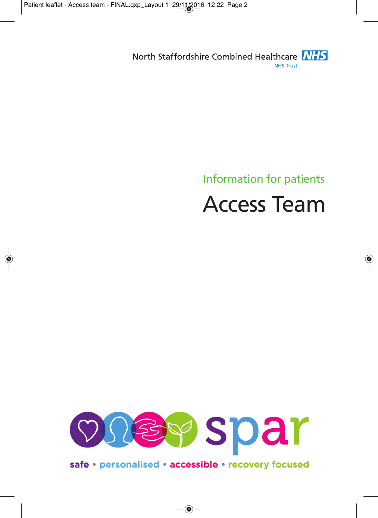

### Information for patients

# Access Team



safe · personalised · accessible · recovery focused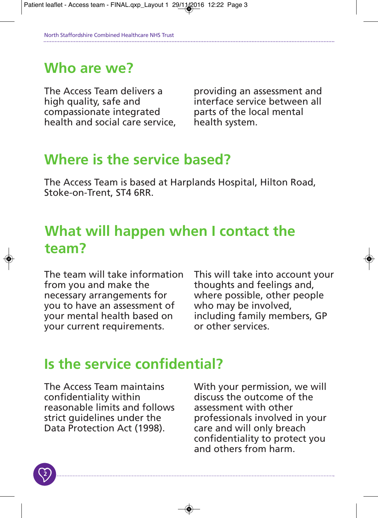### **Who are we?**

The Access Team delivers a high quality, safe and compassionate integrated health and social care service, providing an assessment and interface service between all parts of the local mental health system.

# **Where is the service based?**

The Access Team is based at Harplands Hospital, Hilton Road, Stoke-on-Trent, ST4 6RR.

# **What will happen when I contact the team?**

The team will take information from you and make the necessary arrangements for you to have an assessment of your mental health based on your current requirements.

This will take into account your thoughts and feelings and, where possible, other people who may be involved, including family members, GP or other services.

# **Is the service confidential?**

The Access Team maintains confidentiality within reasonable limits and follows strict guidelines under the Data Protection Act (1998).

With your permission, we will discuss the outcome of the assessment with other professionals involved in your care and will only breach confidentiality to protect you and others from harm.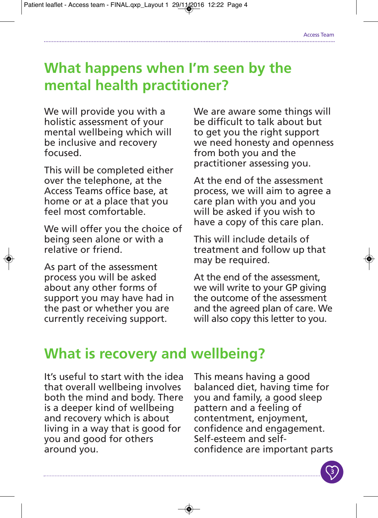# **What happens when I'm seen by the mental health practitioner?**

We will provide you with a holistic assessment of your mental wellbeing which will be inclusive and recovery focused.

This will be completed either over the telephone, at the Access Teams office base, at home or at a place that you feel most comfortable.

We will offer you the choice of being seen alone or with a relative or friend.

As part of the assessment process you will be asked about any other forms of support you may have had in the past or whether you are currently receiving support.

We are aware some things will be difficult to talk about but to get you the right support we need honesty and openness from both you and the practitioner assessing you.

At the end of the assessment process, we will aim to agree a care plan with you and you will be asked if you wish to have a copy of this care plan.

This will include details of treatment and follow up that may be required.

At the end of the assessment, we will write to your GP giving the outcome of the assessment and the agreed plan of care. We will also copy this letter to you.

### **What is recovery and wellbeing?**

It's useful to start with the idea that overall wellbeing involves both the mind and body. There is a deeper kind of wellbeing and recovery which is about living in a way that is good for you and good for others around you.

This means having a good balanced diet, having time for you and family, a good sleep pattern and a feeling of contentment, enjoyment, confidence and engagement. Self-esteem and selfconfidence are important parts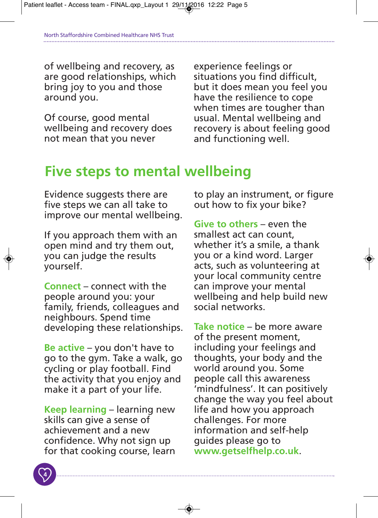of wellbeing and recovery, as are good relationships, which bring joy to you and those around you.

Of course, good mental wellbeing and recovery does not mean that you never

experience feelings or situations you find difficult, but it does mean you feel you have the resilience to cope when times are tougher than usual. Mental wellbeing and recovery is about feeling good and functioning well.

# **Five steps to mental wellbeing**

Evidence suggests there are five steps we can all take to improve our mental wellbeing.

If you approach them with an open mind and try them out, you can judge the results yourself.

**Connect** – connect with the people around you: your family, friends, colleagues and neighbours. Spend time developing these relationships.

**Be active** – you don't have to go to the gym. Take a walk, go cycling or play football. Find the activity that you enjoy and make it a part of your life.

**Keep learning** – learning new skills can give a sense of achievement and a new confidence. Why not sign up for that cooking course, learn to play an instrument, or figure out how to fix your bike?

**Give to others** – even the smallest act can count, whether it's a smile, a thank you or a kind word. Larger acts, such as volunteering at your local community centre can improve your mental wellbeing and help build new social networks.

**Take notice** – be more aware of the present moment, including your feelings and thoughts, your body and the world around you. Some people call this awareness 'mindfulness'. It can positively change the way you feel about life and how you approach challenges. For more information and self-help guides please go to **[www.getselfhelp.co.uk](http://www.getselfhelp.co.uk)**.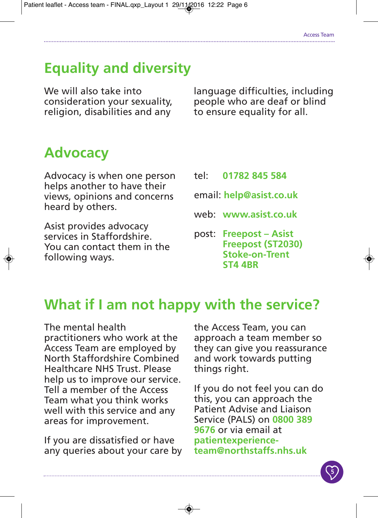# **Equality and diversity**

We will also take into consideration your sexuality, religion, disabilities and any

language difficulties, including people who are deaf or blind to ensure equality for all.

# **Advocacy**

Advocacy is when one person helps another to have their views, opinions and concerns heard by others.

Asist provides advocacy services in Staffordshire. You can contact them in the following ways.

- tel: **01782 845 584**
- email: **[help@asist.co.uk](mailto:help@asist.co.uk)**
- web: **[www.asist.co.uk](http://www.asist.co.uk)**
- post: **Freepost – Asist Freepost (ST2030) Stoke-on-Trent ST4 4BR**

# **What if I am not happy with the service?**

The mental health

practitioners who work at the Access Team are employed by North Staffordshire Combined Healthcare NHS Trust. Please help us to improve our service. Tell a member of the Access Team what you think works well with this service and any areas for improvement.

If you are dissatisfied or have any queries about your care by the Access Team, you can approach a team member so they can give you reassurance and work towards putting things right.

If you do not feel you can do this, you can approach the Patient Advise and Liaison Service (PALS) on **0800 389 9676** or via email at **patientexperience[team@northstaffs.nhs.uk](mailto:patientexperience-team@northstaffs.nhs.uk)**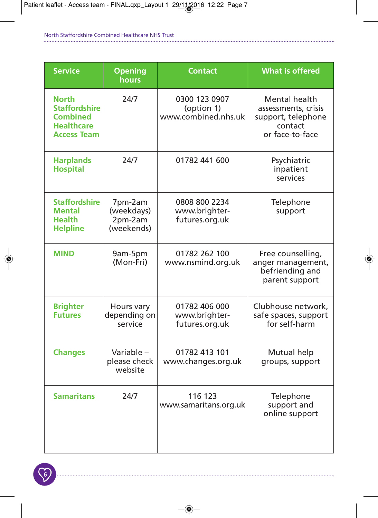| <b>Service</b>                                                                                     | <b>Opening</b><br>hours                        | <b>Contact</b>                                     | <b>What is offered</b>                                                                   |
|----------------------------------------------------------------------------------------------------|------------------------------------------------|----------------------------------------------------|------------------------------------------------------------------------------------------|
| <b>North</b><br><b>Staffordshire</b><br><b>Combined</b><br><b>Healthcare</b><br><b>Access Team</b> | 24/7                                           | 0300 123 0907<br>(option 1)<br>www.combined.nhs.uk | Mental health<br>assessments, crisis<br>support, telephone<br>contact<br>or face-to-face |
| <b>Harplands</b><br><b>Hospital</b>                                                                | 24/7                                           | 01782 441 600                                      | Psychiatric<br>inpatient<br>services                                                     |
| <b>Staffordshire</b><br><b>Mental</b><br><b>Health</b><br><b>Helpline</b>                          | 7pm-2am<br>(weekdays)<br>2pm-2am<br>(weekends) | 0808 800 2234<br>www.brighter-<br>futures.org.uk   | Telephone<br>support                                                                     |
| <b>MIND</b>                                                                                        | 9am-5pm<br>(Mon-Fri)                           | 01782 262 100<br>www.nsmind.org.uk                 | Free counselling,<br>anger management,<br>befriending and<br>parent support              |
| <b>Brighter</b><br><b>Futures</b>                                                                  | Hours vary<br>depending on<br>service          | 01782 406 000<br>www.brighter-<br>futures.org.uk   | Clubhouse network,<br>safe spaces, support<br>for self-harm                              |
| <b>Changes</b>                                                                                     | Variable –<br>please check<br>website          | 01782 413 101<br>www.changes.org.uk                | Mutual help<br>groups, support                                                           |
| <b>Samaritans</b>                                                                                  | 24/7                                           | 116 123<br>www.samaritans.org.uk                   | Telephone<br>support and<br>online support                                               |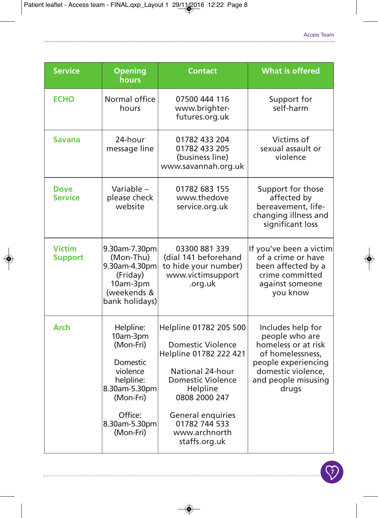| <b>Service</b>                  | <b>Opening</b><br>hours                                                                                                                        | <b>Contact</b>                                                                                                                                                                                                                    | <b>What is offered</b>                                                                                                                                      |
|---------------------------------|------------------------------------------------------------------------------------------------------------------------------------------------|-----------------------------------------------------------------------------------------------------------------------------------------------------------------------------------------------------------------------------------|-------------------------------------------------------------------------------------------------------------------------------------------------------------|
| <b>ECHO</b>                     | Normal office<br>hours                                                                                                                         | 07500 444 116<br>www.brighter-<br>futures.org.uk                                                                                                                                                                                  | Support for<br>self-harm                                                                                                                                    |
| <b>Savana</b>                   | 24-hour<br>message line                                                                                                                        | 01782 433 204<br>01782 433 205<br>(business line)<br>www.savannah.org.uk                                                                                                                                                          | Victims of<br>sexual assault or<br>violence                                                                                                                 |
| <b>Dove</b><br><b>Service</b>   | Variable -<br>please check<br>website                                                                                                          | 01782 683 155<br>www.thedove<br>service.org.uk                                                                                                                                                                                    | Support for those<br>affected by<br>bereavement, life-<br>changing illness and<br>significant loss                                                          |
| <b>Victim</b><br><b>Support</b> | 9.30am-7.30pm<br>(Mon-Thu)<br>9.30am-4.30pm<br>(Friday)<br>10am-3pm<br>(weekends &<br>bank holidays)                                           | 03300 881 339<br>(dial 141 beforehand<br>to hide your number)<br>www.victimsupport<br>.org.uk                                                                                                                                     | If you've been a victim<br>of a crime or have<br>been affected by a<br>crime committed<br>against someone<br>you know                                       |
| <b>Arch</b>                     | Helpline:<br>10am-3pm<br>(Mon-Fri)<br>Domestic<br>violence<br>helpline:<br>8.30am-5.30pm<br>(Mon-Fri)<br>Office:<br>8.30am-5.30pm<br>(Mon-Fri) | Helpline 01782 205 500<br><b>Domestic Violence</b><br>Helpline 01782 222 421<br>National 24-hour<br><b>Domestic Violence</b><br>Helpline<br>0808 2000 247<br>General enquiries<br>01782 744 533<br>www.archnorth<br>staffs.org.uk | Includes help for<br>people who are<br>homeless or at risk<br>of homelessness,<br>people experiencing<br>domestic violence,<br>and people misusing<br>drugs |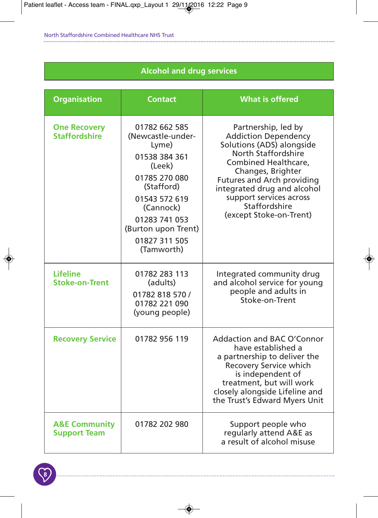#### **Alcohol and drug services**

| <b>Organisation</b>                             | <b>Contact</b>                                                                                                                                                                                             | <b>What is offered</b>                                                                                                                                                                                                                                                                                |
|-------------------------------------------------|------------------------------------------------------------------------------------------------------------------------------------------------------------------------------------------------------------|-------------------------------------------------------------------------------------------------------------------------------------------------------------------------------------------------------------------------------------------------------------------------------------------------------|
| <b>One Recovery</b><br><b>Staffordshire</b>     | 01782 662 585<br>(Newcastle-under-<br>Lyme)<br>01538 384 361<br>(Leek)<br>01785 270 080<br>(Stafford)<br>01543 572 619<br>(Cannock)<br>01283 741 053<br>(Burton upon Trent)<br>01827 311 505<br>(Tamworth) | Partnership, led by<br><b>Addiction Dependency</b><br>Solutions (ADS) alongside<br><b>North Staffordshire</b><br>Combined Healthcare,<br>Changes, Brighter<br><b>Futures and Arch providing</b><br>integrated drug and alcohol<br>support services across<br>Staffordshire<br>(except Stoke-on-Trent) |
| <b>Lifeline</b><br><b>Stoke-on-Trent</b>        | 01782 283 113<br>(adults)<br>01782 818 570 /<br>01782 221 090<br>(young people)                                                                                                                            | Integrated community drug<br>and alcohol service for young<br>people and adults in<br>Stoke-on-Trent                                                                                                                                                                                                  |
| <b>Recovery Service</b>                         | 01782 956 119                                                                                                                                                                                              | <b>Addaction and BAC O'Connor</b><br>have established a<br>a partnership to deliver the<br>Recovery Service which<br>is independent of<br>treatment, but will work<br>closely alongside Lifeline and<br>the Trust's Edward Myers Unit                                                                 |
| <b>A&amp;E Community</b><br><b>Support Team</b> | 01782 202 980                                                                                                                                                                                              | Support people who<br>regularly attend A&E as<br>a result of alcohol misuse                                                                                                                                                                                                                           |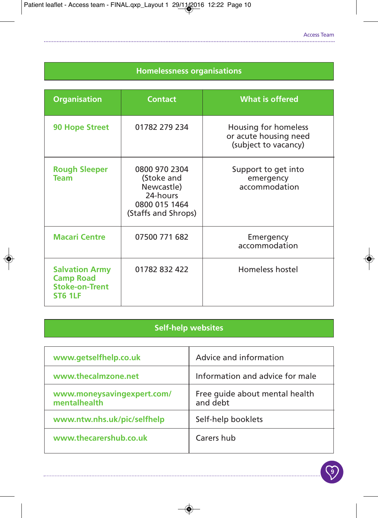### **Homelessness organisations**

| <b>Organisation</b>                                                                  | <b>Contact</b>                                                                                | <b>What is offered</b>                                                |
|--------------------------------------------------------------------------------------|-----------------------------------------------------------------------------------------------|-----------------------------------------------------------------------|
| <b>90 Hope Street</b>                                                                | 01782 279 234                                                                                 | Housing for homeless<br>or acute housing need<br>(subject to vacancy) |
| <b>Rough Sleeper</b><br><b>Team</b>                                                  | 0800 970 2304<br>(Stoke and<br>Newcastle)<br>24-hours<br>0800 015 1464<br>(Staffs and Shrops) | Support to get into<br>emergency<br>accommodation                     |
| <b>Macari Centre</b>                                                                 | 07500 771 682                                                                                 | Emergency<br>accommodation                                            |
| <b>Salvation Army</b><br><b>Camp Road</b><br><b>Stoke-on-Trent</b><br><b>ST6 1LF</b> | 01782 832 422                                                                                 | Homeless hostel                                                       |

#### **Self-help websites**

| www.getselfhelp.co.uk                      | Advice and information                     |
|--------------------------------------------|--------------------------------------------|
| www.thecalmzone.net                        | Information and advice for male            |
| www.moneysavingexpert.com/<br>mentalhealth | Free guide about mental health<br>and debt |
| www.ntw.nhs.uk/pic/selfhelp                | Self-help booklets                         |
| www.thecarershub.co.uk                     | Carers hub                                 |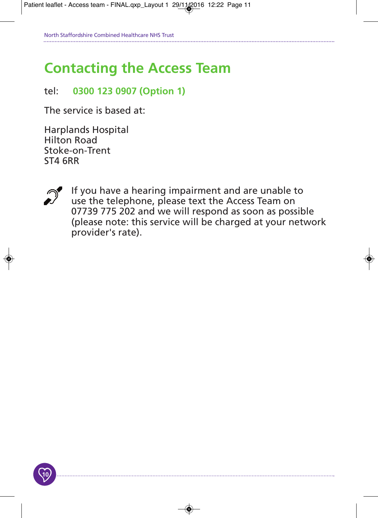# **Contacting the Access Team**

#### tel: **0300 123 0907 (Option 1)**

The service is based at:

Harplands Hospital Hilton Road Stoke-on-Trent ST4 6RR



If you have a hearing impairment and are unable to use the telephone, please text the Access Team on 07739 775 202 and we will respond as soon as possible (please note: this service will be charged at your network provider's rate).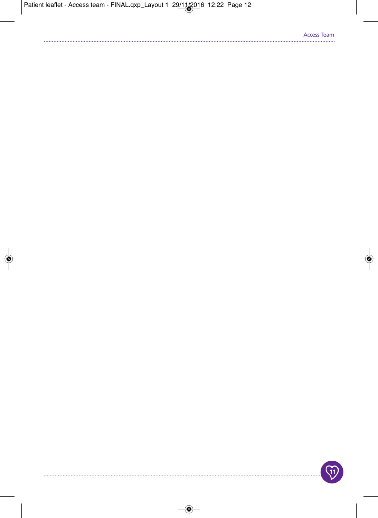#### Access Team

**11**